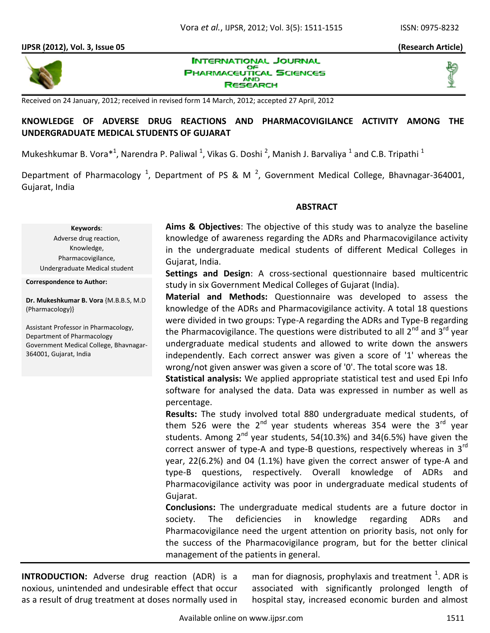**INTERNATIONAL JOURNAL** 

### **IJPSR (2012), Vol. 3, Issue 05 (Research Article)**





**PHARMACEUTICAL SCIENCES AND** RESEARCH

Received on 24 January, 2012; received in revised form 14 March, 2012; accepted 27 April, 2012

# **KNOWLEDGE OF ADVERSE DRUG REACTIONS AND PHARMACOVIGILANCE ACTIVITY AMONG THE UNDERGRADUATE MEDICAL STUDENTS OF GUJARAT**

Mukeshkumar B. Vora $^{*1}$ , Narendra P. Paliwal <sup>1</sup>, Vikas G. Doshi <sup>2</sup>, Manish J. Barvaliya <sup>1</sup> and C.B. Tripathi <sup>1</sup>

Department of Pharmacology<sup>1</sup>, Department of PS & M<sup>2</sup>, Government Medical College, Bhavnagar-364001, Gujarat, India

### **ABSTRACT**

**Keywords**: Adverse drug reaction, Knowledge, Pharmacovigilance, Undergraduate Medical student

**Correspondence to Author:**

**Dr. Mukeshkumar B. Vora** {M.B.B.S, M.D (Pharmacology)}

Assistant Professor in Pharmacology, Department of Pharmacology Government Medical College, Bhavnagar-364001, Gujarat, India

**Aims & Objectives**: The objective of this study was to analyze the baseline knowledge of awareness regarding the ADRs and Pharmacovigilance activity in the undergraduate medical students of different Medical Colleges in Gujarat, India.

**Settings and Design**: A cross-sectional questionnaire based multicentric study in six Government Medical Colleges of Gujarat (India).

**Material and Methods:** Questionnaire was developed to assess the knowledge of the ADRs and Pharmacovigilance activity. A total 18 questions were divided in two groups: Type-A regarding the ADRs and Type-B regarding the Pharmacovigilance. The questions were distributed to all  $2^{nd}$  and  $3^{rd}$  year undergraduate medical students and allowed to write down the answers independently. Each correct answer was given a score of '1' whereas the wrong/not given answer was given a score of '0'. The total score was 18.

**Statistical analysis:** We applied appropriate statistical test and used Epi Info software for analysed the data. Data was expressed in number as well as percentage.

**Results:** The study involved total 880 undergraduate medical students, of them 526 were the  $2^{nd}$  year students whereas 354 were the  $3^{rd}$  year students. Among  $2^{nd}$  year students, 54(10.3%) and 34(6.5%) have given the correct answer of type-A and type-B questions, respectively whereas in 3<sup>rd</sup> year, 22(6.2%) and 04 (1.1%) have given the correct answer of type-A and type-B questions, respectively. Overall knowledge of ADRs and Pharmacovigilance activity was poor in undergraduate medical students of Gujarat.

**Conclusions:** The undergraduate medical students are a future doctor in society. The deficiencies in knowledge regarding ADRs and Pharmacovigilance need the urgent attention on priority basis, not only for the success of the Pharmacovigilance program, but for the better clinical management of the patients in general.

**INTRODUCTION:** Adverse drug reaction (ADR) is a noxious, unintended and undesirable effect that occur as a result of drug treatment at doses normally used in

man for diagnosis, prophylaxis and treatment  $^{1}$ . ADR is associated with significantly prolonged length of hospital stay, increased economic burden and almost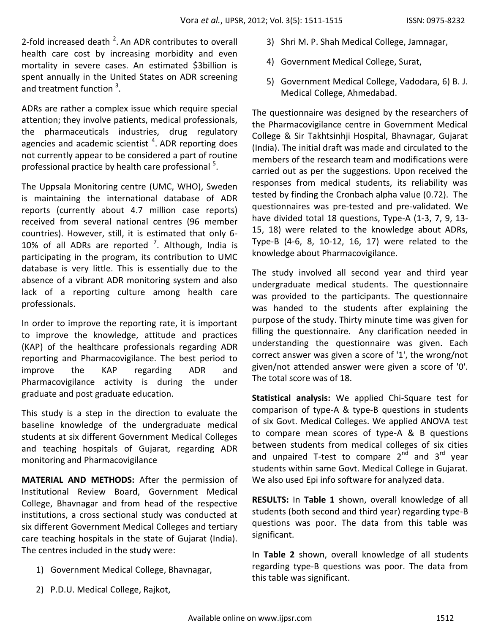2-fold increased death  $^2$ . An ADR contributes to overall health care cost by increasing morbidity and even mortality in severe cases. An estimated \$3billion is spent annually in the United States on ADR screening and treatment function  $3$ .

ADRs are rather a complex issue which require special attention; they involve patients, medical professionals, the pharmaceuticals industries, drug regulatory agencies and academic scientist <sup>4</sup>. ADR reporting does not currently appear to be considered a part of routine professional practice by health care professional  $5$ .

The Uppsala Monitoring centre (UMC, WHO), Sweden is maintaining the international database of ADR reports (currently about 4.7 million case reports) received from several national centres (96 member countries). However, still, it is estimated that only 6- 10% of all ADRs are reported  $7$ . Although, India is participating in the program, its contribution to UMC database is very little. This is essentially due to the absence of a vibrant ADR monitoring system and also lack of a reporting culture among health care professionals.

In order to improve the reporting rate, it is important to improve the knowledge, attitude and practices (KAP) of the healthcare professionals regarding ADR reporting and Pharmacovigilance. The best period to improve the KAP regarding ADR and Pharmacovigilance activity is during the under graduate and post graduate education.

This study is a step in the direction to evaluate the baseline knowledge of the undergraduate medical students at six different Government Medical Colleges and teaching hospitals of Gujarat, regarding ADR monitoring and Pharmacovigilance

**MATERIAL AND METHODS:** After the permission of Institutional Review Board, Government Medical College, Bhavnagar and from head of the respective institutions, a cross sectional study was conducted at six different Government Medical Colleges and tertiary care teaching hospitals in the state of Gujarat (India). The centres included in the study were:

- 1) Government Medical College, Bhavnagar,
- 2) P.D.U. Medical College, Rajkot,
- 3) Shri M. P. Shah Medical College, Jamnagar,
- 4) Government Medical College, Surat,
- 5) Government Medical College, Vadodara, 6) B. J. Medical College, Ahmedabad.

The questionnaire was designed by the researchers of the Pharmacovigilance centre in Government Medical College & Sir Takhtsinhji Hospital, Bhavnagar, Gujarat (India). The initial draft was made and circulated to the members of the research team and modifications were carried out as per the suggestions. Upon received the responses from medical students, its reliability was tested by finding the Cronbach alpha value (0.72). The questionnaires was pre-tested and pre-validated. We have divided total 18 questions, Type-A (1-3, 7, 9, 13- 15, 18) were related to the knowledge about ADRs, Type-B (4-6, 8, 10-12, 16, 17) were related to the knowledge about Pharmacovigilance.

The study involved all second year and third year undergraduate medical students. The questionnaire was provided to the participants. The questionnaire was handed to the students after explaining the purpose of the study. Thirty minute time was given for filling the questionnaire. Any clarification needed in understanding the questionnaire was given. Each correct answer was given a score of '1', the wrong/not given/not attended answer were given a score of '0'. The total score was of 18.

**Statistical analysis:** We applied Chi-Square test for comparison of type-A & type-B questions in students of six Govt. Medical Colleges. We applied ANOVA test to compare mean scores of type-A & B questions between students from medical colleges of six cities and unpaired T-test to compare  $2^{n\bar{d}}$  and  $3^{rd}$  year students within same Govt. Medical College in Gujarat. We also used Epi info software for analyzed data.

**RESULTS:** In **Table 1** shown, overall knowledge of all students (both second and third year) regarding type-B questions was poor. The data from this table was significant.

In **Table 2** shown, overall knowledge of all students regarding type-B questions was poor. The data from this table was significant.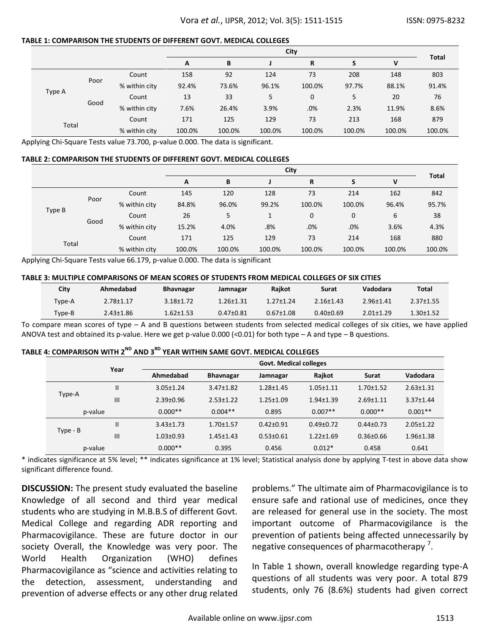### **TABLE 1: COMPARISON THE STUDENTS OF DIFFERENT GOVT. MEDICAL COLLEGES**

|        |       |               | City        |        |        |              |        | <b>Total</b> |        |
|--------|-------|---------------|-------------|--------|--------|--------------|--------|--------------|--------|
|        |       |               | R<br>B<br>A |        |        |              |        | ٧            |        |
|        |       | Count         | 158         | 92     | 124    | 73           | 208    | 148          | 803    |
|        | Poor  | % within city | 92.4%       | 73.6%  | 96.1%  | 100.0%       | 97.7%  | 88.1%        | 91.4%  |
| Type A |       | Count         | 13          | 33     | 5      | $\mathbf{0}$ | 5      | 20           | 76     |
|        | Good  | % within city | 7.6%        | 26.4%  | 3.9%   | .0%          | 2.3%   | 11.9%        | 8.6%   |
| Total  | Count |               | 171         | 125    | 129    | 73           | 213    | 168          | 879    |
|        |       | % within city | 100.0%      | 100.0% | 100.0% | 100.0%       | 100.0% | 100.0%       | 100.0% |

Applying Chi-Square Tests value 73.700, p-value 0.000. The data is significant.

#### **TABLE 2: COMPARISON THE STUDENTS OF DIFFERENT GOVT. MEDICAL COLLEGES**

|        |      |               | City   |        |        |              |        | <b>Total</b> |        |
|--------|------|---------------|--------|--------|--------|--------------|--------|--------------|--------|
|        |      |               | A      | B      |        | R            | S      | v            |        |
|        |      | Count         | 145    | 120    | 128    | 73           | 214    | 162          | 842    |
|        | Poor | % within city | 84.8%  | 96.0%  | 99.2%  | 100.0%       | 100.0% | 96.4%        | 95.7%  |
| Type B |      | Count         | 26     | 5      |        | $\mathbf{0}$ | 0      | 6            | 38     |
|        | Good | % within city | 15.2%  | 4.0%   | .8%    | .0%          | .0%    | 3.6%         | 4.3%   |
|        |      | Count         | 171    | 125    | 129    | 73           | 214    | 168          | 880    |
| Total  |      | % within city | 100.0% | 100.0% | 100.0% | 100.0%       | 100.0% | 100.0%       | 100.0% |

Applying Chi-Square Tests value 66.179, p-value 0.000. The data is significant

#### **TABLE 3: MULTIPLE COMPARISONS OF MEAN SCORES OF STUDENTS FROM MEDICAL COLLEGES OF SIX CITIES**

| City   | Ahmedabad       | <b>Bhavnagar</b> | Jamnagar        | <b>Raikot</b>   | Surat           | Vadodara        | Total           |
|--------|-----------------|------------------|-----------------|-----------------|-----------------|-----------------|-----------------|
| Type-A | $2.78 \pm 1.17$ | $3.18 \pm 1.72$  | $1.26 \pm 1.31$ | $1.27 + 1.24$   | $2.16 \pm 1.43$ | $2.96 \pm 1.41$ | $2.37 \pm 1.55$ |
| Type-B | $2.43 \pm 1.86$ | $1.62 \pm 1.53$  | $0.47 \pm 0.81$ | $0.67 \pm 1.08$ | $0.40 \pm 0.69$ | $2.01 + 1.29$   | $1.30 \pm 1.52$ |

To compare mean scores of type – A and B questions between students from selected medical colleges of six cities, we have applied ANOVA test and obtained its p-value. Here we get p-value 0.000 (<0.01) for both type – A and type – B questions.

### **TABLE 4: COMPARISON WITH 2ND AND 3RD YEAR WITHIN SAME GOVT. MEDICAL COLLEGES**

|          | Year           | <b>Govt. Medical colleges</b> |                  |                 |                 |                 |                 |  |
|----------|----------------|-------------------------------|------------------|-----------------|-----------------|-----------------|-----------------|--|
|          |                | Ahmedabad                     | <b>Bhavnagar</b> | Jamnagar        | Rajkot          | <b>Surat</b>    | Vadodara        |  |
|          |                | $3.05 \pm 1.24$               | $3.47 \pm 1.82$  | $1.28 + 1.45$   | $1.05 \pm 1.11$ | $1.70 + 1.52$   | $2.63 \pm 1.31$ |  |
| Type-A   | $\mathsf{III}$ | $2.39 \pm 0.96$               | $2.53 \pm 1.22$  | $1.25 \pm 1.09$ | $1.94 \pm 1.39$ | $2.69 + 1.11$   | $3.37 \pm 1.44$ |  |
| p-value  |                | $0.000**$                     | $0.004**$        | 0.895           | $0.007**$       | $0.000**$       | $0.001**$       |  |
|          | Ш              | $3.43 \pm 1.73$               | $1.70 \pm 1.57$  | $0.42 \pm 0.91$ | $0.49 \pm 0.72$ | $0.44 \pm 0.73$ | $2.05 \pm 1.22$ |  |
| Type - B | III            | $1.03 \pm 0.93$               | $1.45 \pm 1.43$  | $0.53 + 0.61$   | $1.22 \pm 1.69$ | $0.36 \pm 0.66$ | $1.96 \pm 1.38$ |  |
| p-value  |                | $0.000**$                     | 0.395            | 0.456           | $0.012*$        | 0.458           | 0.641           |  |

\* indicates significance at 5% level; \*\* indicates significance at 1% level; Statistical analysis done by applying T-test in above data show significant difference found.

**DISCUSSION:** The present study evaluated the baseline Knowledge of all second and third year medical students who are studying in M.B.B.S of different Govt. Medical College and regarding ADR reporting and Pharmacovigilance. These are future doctor in our society Overall, the Knowledge was very poor. The World Health Organization (WHO) defines Pharmacovigilance as "science and activities relating to the detection, assessment, understanding and prevention of adverse effects or any other drug related

problems." The ultimate aim of Pharmacovigilance is to ensure safe and rational use of medicines, once they are released for general use in the society. The most important outcome of Pharmacovigilance is the prevention of patients being affected unnecessarily by negative consequences of pharmacotherapy<sup>7</sup>.

In Table 1 shown, overall knowledge regarding type-A questions of all students was very poor. A total 879 students, only 76 (8.6%) students had given correct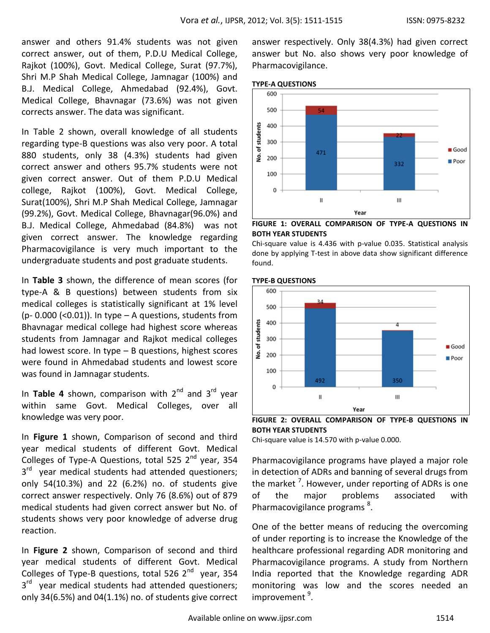answer and others 91.4% students was not given correct answer, out of them, P.D.U Medical College, Rajkot (100%), Govt. Medical College, Surat (97.7%), Shri M.P Shah Medical College, Jamnagar (100%) and B.J. Medical College, Ahmedabad (92.4%), Govt. Medical College, Bhavnagar (73.6%) was not given corrects answer. The data was significant.

In Table 2 shown, overall knowledge of all students regarding type-B questions was also very poor. A total 880 students, only 38 (4.3%) students had given correct answer and others 95.7% students were not given correct answer. Out of them P.D.U Medical college, Rajkot (100%), Govt. Medical College, Surat(100%), Shri M.P Shah Medical College, Jamnagar (99.2%), Govt. Medical College, Bhavnagar(96.0%) and B.J. Medical College, Ahmedabad (84.8%) was not given correct answer. The knowledge regarding Pharmacovigilance is very much important to the undergraduate students and post graduate students.

In **Table 3** shown, the difference of mean scores (for type-A & B questions) between students from six medical colleges is statistically significant at 1% level (p- 0.000 (<0.01)). In type  $-$  A questions, students from Bhavnagar medical college had highest score whereas students from Jamnagar and Rajkot medical colleges had lowest score. In type – B questions, highest scores were found in Ahmedabad students and lowest score was found in Jamnagar students.

In **Table 4** shown, comparison with  $2^{nd}$  and  $3^{rd}$  year within same Govt. Medical Colleges, over all knowledge was very poor.

In **Figure 1** shown, Comparison of second and third year medical students of different Govt. Medical Colleges of Type-A Questions, total 525  $2^{nd}$  year, 354 3<sup>rd</sup> year medical students had attended questioners; only 54(10.3%) and 22 (6.2%) no. of students give correct answer respectively. Only 76 (8.6%) out of 879 medical students had given correct answer but No. of students shows very poor knowledge of adverse drug reaction.

In **Figure 2** shown, Comparison of second and third year medical students of different Govt. Medical Colleges of Type-B questions, total 526  $2^{nd}$  year, 354 3<sup>rd</sup> year medical students had attended questioners; only 34(6.5%) and 04(1.1%) no. of students give correct

answer respectively. Only 38(4.3%) had given correct answer but No. also shows very poor knowledge of Pharmacovigilance.





**FIGURE 1: OVERALL COMPARISON OF TYPE-A QUESTIONS IN BOTH YEAR STUDENTS**

Chi-square value is 4.436 with p-value 0.035. Statistical analysis done by applying T-test in above data show significant difference found.





**FIGURE 2: OVERALL COMPARISON OF TYPE-B QUESTIONS IN BOTH YEAR STUDENTS**

Chi-square value is 14.570 with p-value 0.000.

Pharmacovigilance programs have played a major role in detection of ADRs and banning of several drugs from the market <sup>7</sup>. However, under reporting of ADRs is one of the major problems associated with Pharmacovigilance programs<sup>8</sup>.

One of the better means of reducing the overcoming of under reporting is to increase the Knowledge of the healthcare professional regarding ADR monitoring and Pharmacovigilance programs. A study from Northern India reported that the Knowledge regarding ADR monitoring was low and the scores needed an improvement <sup>9</sup>.